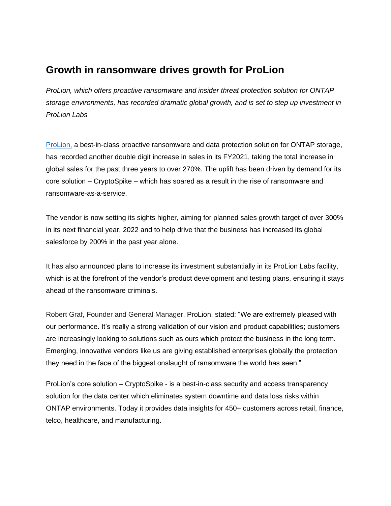## **Growth in ransomware drives growth for ProLion**

*ProLion, which offers proactive ransomware and insider threat protection solution for ONTAP storage environments, has recorded dramatic global growth, and is set to step up investment in ProLion Labs*

[ProLion,](https://prolion.com/) a best-in-class proactive ransomware and data protection solution for ONTAP storage, has recorded another double digit increase in sales in its FY2021, taking the total increase in global sales for the past three years to over 270%. The uplift has been driven by demand for its core solution – CryptoSpike – which has soared as a result in the rise of ransomware and ransomware-as-a-service.

The vendor is now setting its sights higher, aiming for planned sales growth target of over 300% in its next financial year, 2022 and to help drive that the business has increased its global salesforce by 200% in the past year alone.

It has also announced plans to increase its investment substantially in its ProLion Labs facility, which is at the forefront of the vendor's product development and testing plans, ensuring it stays ahead of the ransomware criminals.

Robert Graf, Founder and General Manager, ProLion, stated: "We are extremely pleased with our performance. It's really a strong validation of our vision and product capabilities; customers are increasingly looking to solutions such as ours which protect the business in the long term. Emerging, innovative vendors like us are giving established enterprises globally the protection they need in the face of the biggest onslaught of ransomware the world has seen."

ProLion's core solution – CryptoSpike - is a best-in-class security and access transparency solution for the data center which eliminates system downtime and data loss risks within ONTAP environments. Today it provides data insights for 450+ customers across retail, finance, telco, healthcare, and manufacturing.